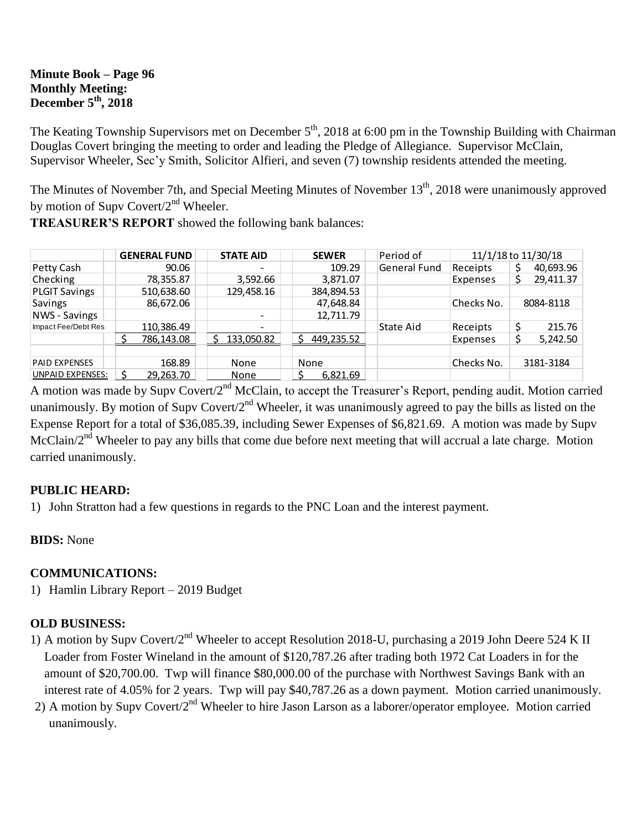### **Minute Book – Page 96 Monthly Meeting: December 5th, 2018**

The Keating Township Supervisors met on December  $5<sup>th</sup>$ , 2018 at 6:00 pm in the Township Building with Chairman Douglas Covert bringing the meeting to order and leading the Pledge of Allegiance. Supervisor McClain, Supervisor Wheeler, Sec'y Smith, Solicitor Alfieri, and seven (7) township residents attended the meeting.

The Minutes of November 7th, and Special Meeting Minutes of November 13<sup>th</sup>, 2018 were unanimously approved by motion of Supv Covert/2<sup>nd</sup> Wheeler.

**TREASURER'S REPORT** showed the following bank balances:

|                         | <b>GENERAL FUND</b> | <b>STATE AID</b>         | <b>SEWER</b> | Period of    | 11/1/18 to 11/30/18 |           |           |
|-------------------------|---------------------|--------------------------|--------------|--------------|---------------------|-----------|-----------|
| Petty Cash              | 90.06               |                          | 109.29       | General Fund | Receipts            |           | 40,693.96 |
| Checking                | 78,355.87           | 3,592.66                 | 3,871.07     |              | Expenses            |           | 29,411.37 |
| <b>PLGIT Savings</b>    | 510,638.60          | 129,458.16               | 384,894.53   |              |                     |           |           |
| Savings                 | 86,672.06           |                          | 47,648.84    |              | Checks No.          | 8084-8118 |           |
| <b>NWS - Savings</b>    |                     | $\overline{\phantom{0}}$ | 12.711.79    |              |                     |           |           |
| Impact Fee/Debt Res     | 110,386.49          |                          |              | State Aid    | Receipts            |           | 215.76    |
|                         | 786,143.08          | 133,050.82               | 449,235.52   |              | Expenses            | Ś         | 5,242.50  |
|                         |                     |                          |              |              |                     |           |           |
| <b>PAID EXPENSES</b>    | 168.89              | None                     | None         |              | Checks No.          | 3181-3184 |           |
| <b>UNPAID EXPENSES:</b> | 29.263.70           | None                     | 6.821.69     |              |                     |           |           |

A motion was made by Supv Covert/2<sup>nd</sup> McClain, to accept the Treasurer's Report, pending audit. Motion carried unanimously. By motion of Supv Covert/ $2<sup>nd</sup>$  Wheeler, it was unanimously agreed to pay the bills as listed on the Expense Report for a total of \$36,085.39, including Sewer Expenses of \$6,821.69. A motion was made by Supv McClain/2<sup>nd</sup> Wheeler to pay any bills that come due before next meeting that will accrual a late charge. Motion carried unanimously.

# **PUBLIC HEARD:**

1) John Stratton had a few questions in regards to the PNC Loan and the interest payment.

# **BIDS:** None

# **COMMUNICATIONS:**

1) Hamlin Library Report – 2019 Budget

# **OLD BUSINESS:**

- 1) A motion by Supv Covert/2<sup>nd</sup> Wheeler to accept Resolution 2018-U, purchasing a 2019 John Deere 524 K II Loader from Foster Wineland in the amount of \$120,787.26 after trading both 1972 Cat Loaders in for the amount of \$20,700.00. Twp will finance \$80,000.00 of the purchase with Northwest Savings Bank with an interest rate of 4.05% for 2 years. Twp will pay \$40,787.26 as a down payment. Motion carried unanimously.
- 2) A motion by Supv Covert/2<sup>nd</sup> Wheeler to hire Jason Larson as a laborer/operator employee. Motion carried unanimously.